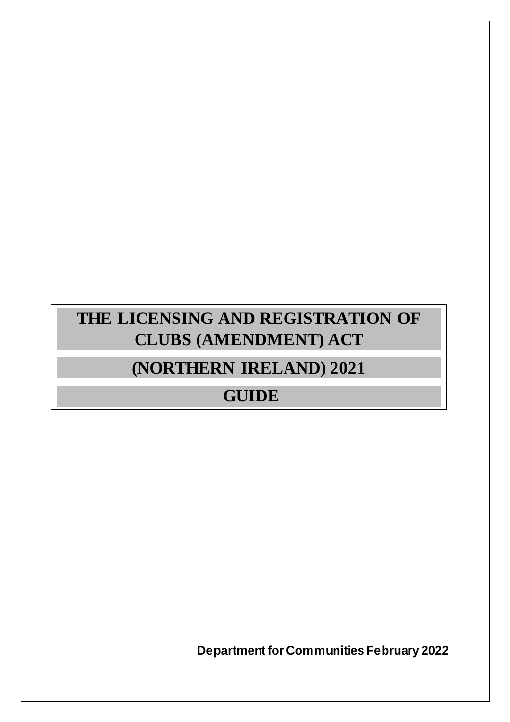# **THE LICENSING AND REGISTRATION OF CLUBS (AMENDMENT) ACT**

# **(NORTHERN IRELAND) 2021**

# **GUIDE**

**Department for Communities February 2022**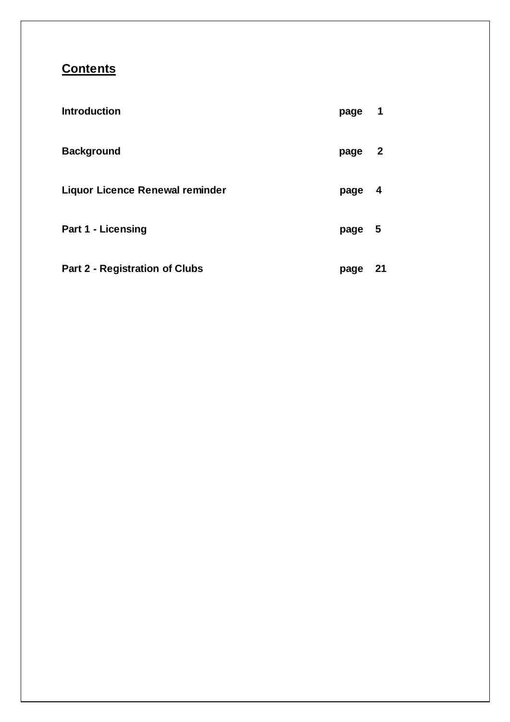# **Contents**

| <b>Introduction</b>                    | page | 1            |
|----------------------------------------|------|--------------|
| <b>Background</b>                      | page | $\mathbf{2}$ |
| <b>Liquor Licence Renewal reminder</b> | page | 4            |
| <b>Part 1 - Licensing</b>              | page | - 5          |
| <b>Part 2 - Registration of Clubs</b>  | page | 21           |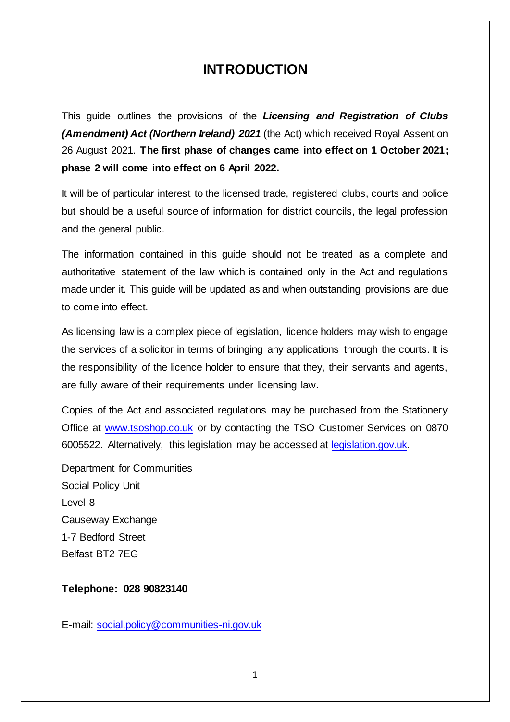# **INTRODUCTION**

This guide outlines the provisions of the *Licensing and Registration of Clubs (Amendment) Act (Northern Ireland) 2021* (the Act) which received Royal Assent on 26 August 2021. **The first phase of changes came into effect on 1 October 2021; phase 2 will come into effect on 6 April 2022.**

It will be of particular interest to the licensed trade, registered clubs, courts and police but should be a useful source of information for district councils, the legal profession and the general public.

The information contained in this guide should not be treated as a complete and authoritative statement of the law which is contained only in the Act and regulations made under it. This guide will be updated as and when outstanding provisions are due to come into effect.

As licensing law is a complex piece of legislation, licence holders may wish to engage the services of a solicitor in terms of bringing any applications through the courts. It is the responsibility of the licence holder to ensure that they, their servants and agents, are fully aware of their requirements under licensing law.

Copies of the Act and associated regulations may be purchased from the Stationery Office at [www.tsoshop.co.uk](http://www.tsoshop.co.uk/) or by contacting the TSO Customer Services on 0870 6005522. Alternatively, this legislation may be accessed at [legislation.gov.uk.](https://www.legislation.gov.uk/nia/2021/7/contents/enacted)

Department for Communities Social Policy Unit Level 8 Causeway Exchange 1-7 Bedford Street Belfast BT2 7EG

**Telephone: 028 90823140**

E-mail: [social.policy@communities-ni.gov.uk](mailto:social.policy@communities-ni.gov.uk)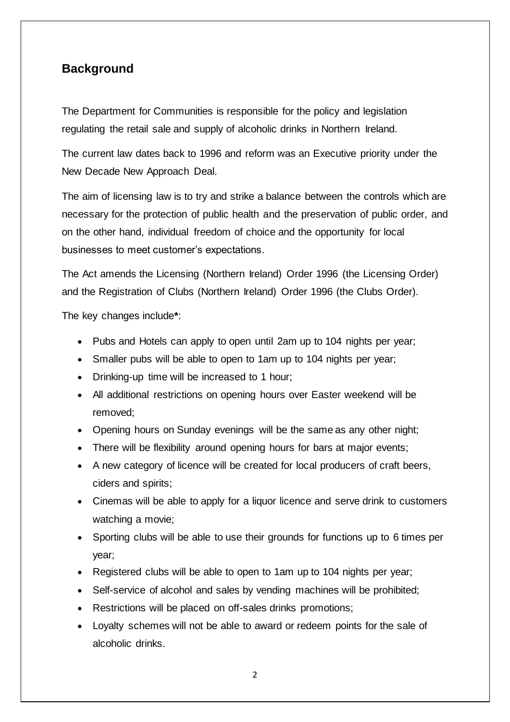# **Background**

The Department for Communities is responsible for the policy and legislation regulating the retail sale and supply of alcoholic drinks in Northern Ireland.

The current law dates back to 1996 and reform was an Executive priority under the New Decade New Approach Deal.

The aim of licensing law is to try and strike a balance between the controls which are necessary for the protection of public health and the preservation of public order, and on the other hand, individual freedom of choice and the opportunity for local businesses to meet customer's expectations.

The Act amends the Licensing (Northern Ireland) Order 1996 (the Licensing Order) and the Registration of Clubs (Northern Ireland) Order 1996 (the Clubs Order).

The key changes include**\***:

- Pubs and Hotels can apply to open until 2am up to 104 nights per year;
- Smaller pubs will be able to open to 1am up to 104 nights per year;
- Drinking-up time will be increased to 1 hour;
- All additional restrictions on opening hours over Easter weekend will be removed;
- Opening hours on Sunday evenings will be the same as any other night;
- There will be flexibility around opening hours for bars at major events;
- A new category of licence will be created for local producers of craft beers, ciders and spirits;
- Cinemas will be able to apply for a liquor licence and serve drink to customers watching a movie;
- Sporting clubs will be able to use their grounds for functions up to 6 times per year;
- Registered clubs will be able to open to 1am up to 104 nights per year;
- Self-service of alcohol and sales by vending machines will be prohibited;
- Restrictions will be placed on off-sales drinks promotions;
- Loyalty schemes will not be able to award or redeem points for the sale of alcoholic drinks.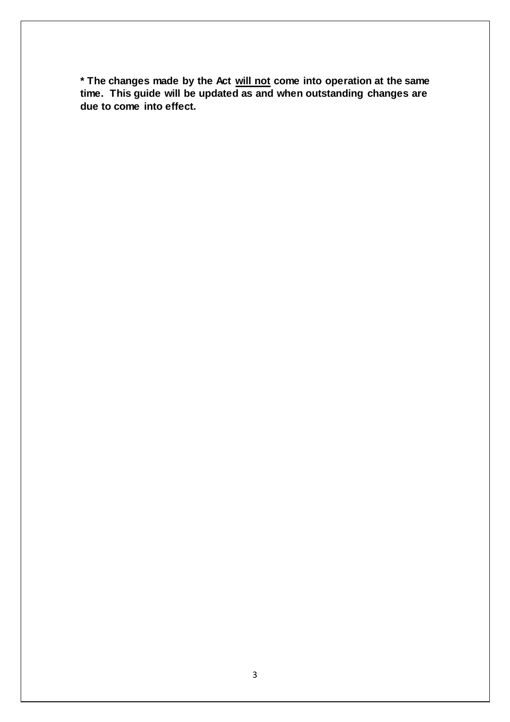**\* The changes made by the Act will not come into operation at the same time. This guide will be updated as and when outstanding changes are due to come into effect.**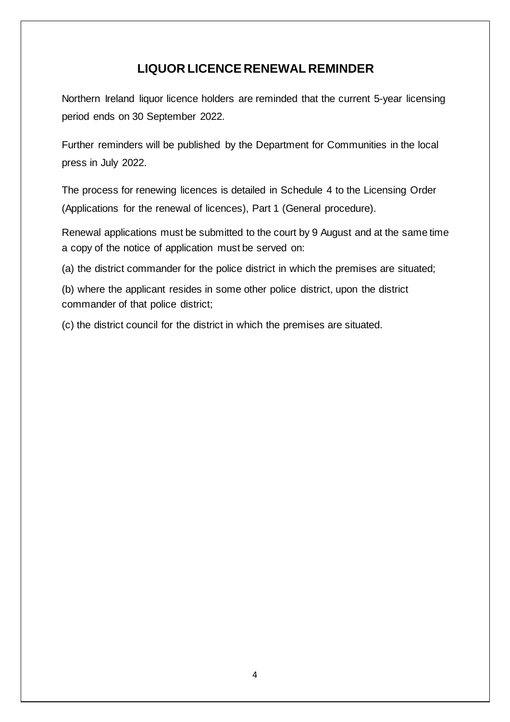# **LIQUOR LICENCE RENEWAL REMINDER**

Northern Ireland liquor licence holders are reminded that the current 5-year licensing period ends on 30 September 2022.

Further reminders will be published by the Department for Communities in the local press in July 2022.

The process for renewing licences is detailed in Schedule 4 to the Licensing Order (Applications for the renewal of licences), Part 1 (General procedure).

Renewal applications must be submitted to the court by 9 August and at the same time a copy of the notice of application must be served on:

(a) the district commander for the police district in which the premises are situated;

(b) where the applicant resides in some other police district, upon the district commander of that police district;

(c) the district council for the district in which the premises are situated.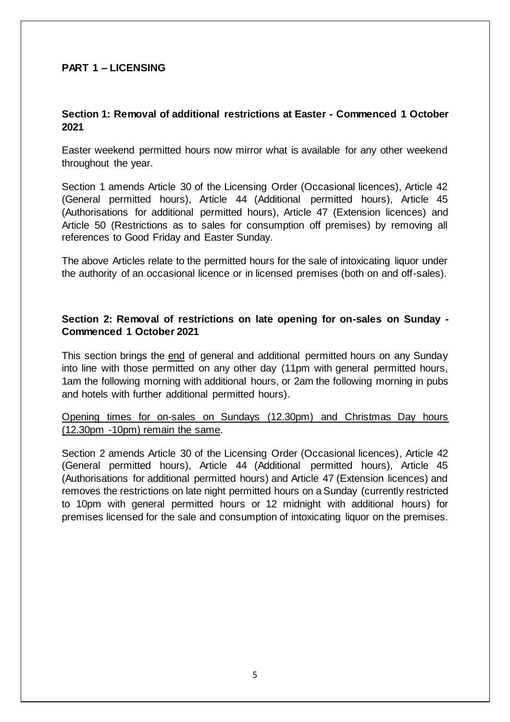# **PART 1 – LICENSING**

# **Section 1: Removal of additional restrictions at Easter - Commenced 1 October 2021**

Easter weekend permitted hours now mirror what is available for any other weekend throughout the year.

Section 1 amends Article 30 of the Licensing Order (Occasional licences), Article 42 (General permitted hours), Article 44 (Additional permitted hours), Article 45 (Authorisations for additional permitted hours), Article 47 (Extension licences) and Article 50 (Restrictions as to sales for consumption off premises) by removing all references to Good Friday and Easter Sunday.

The above Articles relate to the permitted hours for the sale of intoxicating liquor under the authority of an occasional licence or in licensed premises (both on and off-sales).

# **Section 2: Removal of restrictions on late opening for on-sales on Sunday - Commenced 1 October 2021**

This section brings the end of general and additional permitted hours on any Sunday into line with those permitted on any other day (11pm with general permitted hours, 1am the following morning with additional hours, or 2am the following morning in pubs and hotels with further additional permitted hours).

Opening times for on-sales on Sundays (12.30pm) and Christmas Day hours (12.30pm -10pm) remain the same.

Section 2 amends Article 30 of the Licensing Order (Occasional licences), Article 42 (General permitted hours), Article 44 (Additional permitted hours), Article 45 (Authorisations for additional permitted hours) and Article 47 (Extension licences) and removes the restrictions on late night permitted hours on a Sunday (currently restricted to 10pm with general permitted hours or 12 midnight with additional hours) for premises licensed for the sale and consumption of intoxicating liquor on the premises.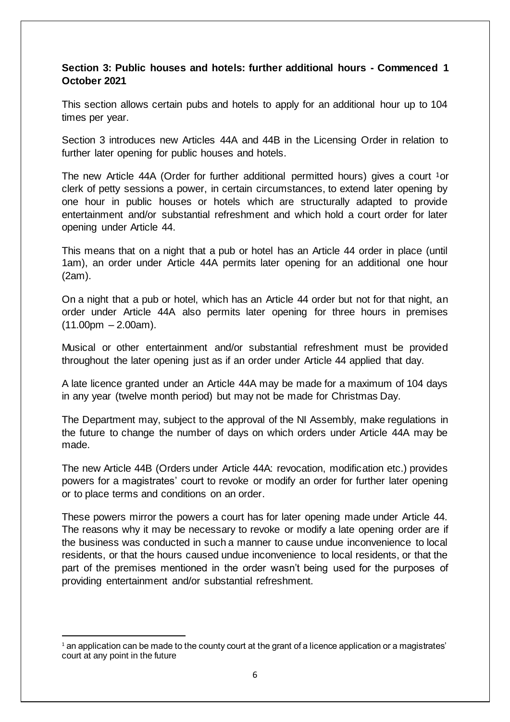# **Section 3: Public houses and hotels: further additional hours - Commenced 1 October 2021**

This section allows certain pubs and hotels to apply for an additional hour up to 104 times per year.

Section 3 introduces new Articles 44A and 44B in the Licensing Order in relation to further later opening for public houses and hotels.

The new Article 44A (Order for further additional permitted hours) gives a court <sup>1</sup>or clerk of petty sessions a power, in certain circumstances, to extend later opening by one hour in public houses or hotels which are structurally adapted to provide entertainment and/or substantial refreshment and which hold a court order for later opening under Article 44.

This means that on a night that a pub or hotel has an Article 44 order in place (until 1am), an order under Article 44A permits later opening for an additional one hour (2am).

On a night that a pub or hotel, which has an Article 44 order but not for that night, an order under Article 44A also permits later opening for three hours in premises  $(11.00 \text{pm} - 2.00 \text{am}).$ 

Musical or other entertainment and/or substantial refreshment must be provided throughout the later opening just as if an order under Article 44 applied that day.

A late licence granted under an Article 44A may be made for a maximum of 104 days in any year (twelve month period) but may not be made for Christmas Day.

The Department may, subject to the approval of the NI Assembly, make regulations in the future to change the number of days on which orders under Article 44A may be made.

The new Article 44B (Orders under Article 44A: revocation, modification etc.) provides powers for a magistrates' court to revoke or modify an order for further later opening or to place terms and conditions on an order.

These powers mirror the powers a court has for later opening made under Article 44. The reasons why it may be necessary to revoke or modify a late opening order are if the business was conducted in such a manner to cause undue inconvenience to local residents, or that the hours caused undue inconvenience to local residents, or that the part of the premises mentioned in the order wasn't being used for the purposes of providing entertainment and/or substantial refreshment.

<sup>1</sup>  $<sup>1</sup>$  an application can be made to the county court at the grant of a licence application or a magistrates'</sup> court at any point in the future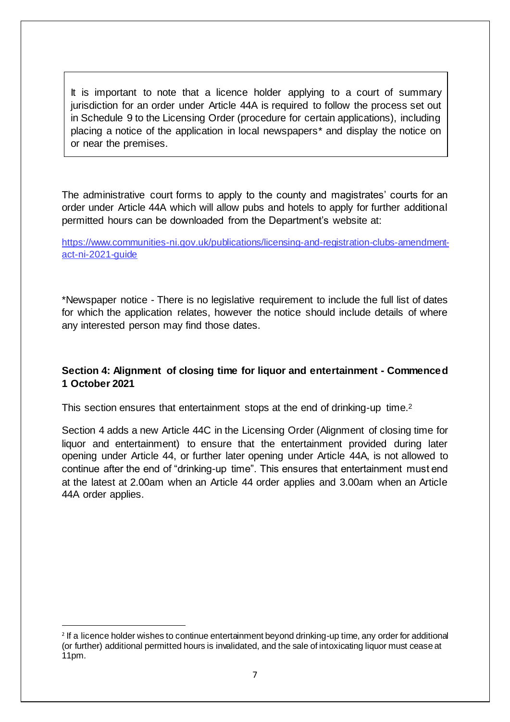It is important to note that a licence holder applying to a court of summary jurisdiction for an order under Article 44A is required to follow the process set out in Schedule 9 to the Licensing Order (procedure for certain applications), including placing a notice of the application in local newspapers\* and display the notice on or near the premises.

The administrative court forms to apply to the county and magistrates' courts for an order under Article 44A which will allow pubs and hotels to apply for further additional permitted hours can be downloaded from the Department's website at:

[https://www.communities-ni.gov.uk/publications/licensing-and-registration-clubs-amendment](https://www.communities-ni.gov.uk/publications/licensing-and-registration-clubs-amendment-act-ni-2021-guide)[act-ni-2021-guide](https://www.communities-ni.gov.uk/publications/licensing-and-registration-clubs-amendment-act-ni-2021-guide)

\*Newspaper notice - There is no legislative requirement to include the full list of dates for which the application relates, however the notice should include details of where any interested person may find those dates.

# **Section 4: Alignment of closing time for liquor and entertainment - Commenced 1 October 2021**

This section ensures that entertainment stops at the end of drinking-up time.<sup>2</sup>

Section 4 adds a new Article 44C in the Licensing Order (Alignment of closing time for liquor and entertainment) to ensure that the entertainment provided during later opening under Article 44, or further later opening under Article 44A, is not allowed to continue after the end of "drinking-up time". This ensures that entertainment must end at the latest at 2.00am when an Article 44 order applies and 3.00am when an Article 44A order applies.

1

<sup>2</sup> If a licence holder wishes to continue entertainment beyond drinking-up time, any order for additional (or further) additional permitted hours is invalidated, and the sale of intoxicating liquor must cease at 11pm.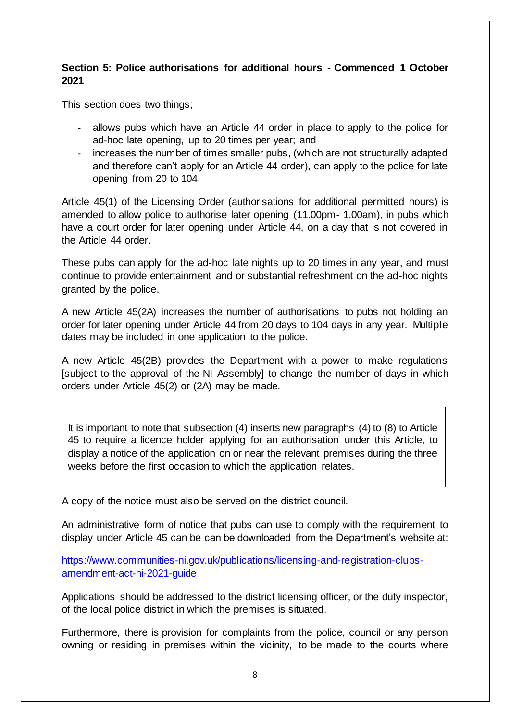# **Section 5: Police authorisations for additional hours - Commenced 1 October 2021**

This section does two things;

- allows pubs which have an Article 44 order in place to apply to the police for ad-hoc late opening, up to 20 times per year; and
- increases the number of times smaller pubs, (which are not structurally adapted and therefore can't apply for an Article 44 order), can apply to the police for late opening from 20 to 104.

Article 45(1) of the Licensing Order (authorisations for additional permitted hours) is amended to allow police to authorise later opening (11.00pm- 1.00am), in pubs which have a court order for later opening under Article 44, on a day that is not covered in the Article 44 order.

These pubs can apply for the ad-hoc late nights up to 20 times in any year, and must continue to provide entertainment and or substantial refreshment on the ad-hoc nights granted by the police.

A new Article 45(2A) increases the number of authorisations to pubs not holding an order for later opening under Article 44 from 20 days to 104 days in any year. Multiple dates may be included in one application to the police.

A new Article 45(2B) provides the Department with a power to make regulations [subject to the approval of the NI Assembly] to change the number of days in which orders under Article 45(2) or (2A) may be made.

It is important to note that subsection (4) inserts new paragraphs (4) to (8) to Article 45 to require a licence holder applying for an authorisation under this Article, to display a notice of the application on or near the relevant premises during the three weeks before the first occasion to which the application relates.

A copy of the notice must also be served on the district council.

An administrative form of notice that pubs can use to comply with the requirement to display under Article 45 can be can be downloaded from the Department's website at:

[https://www.communities-ni.gov.uk/publications/licensing-and-registration-clubs](https://www.communities-ni.gov.uk/publications/licensing-and-registration-clubs-amendment-act-ni-2021-guide)[amendment-act-ni-2021-guide](https://www.communities-ni.gov.uk/publications/licensing-and-registration-clubs-amendment-act-ni-2021-guide)

Applications should be addressed to the district licensing officer, or the duty inspector, of the local police district in which the premises is situated.

Furthermore, there is provision for complaints from the police, council or any person owning or residing in premises within the vicinity, to be made to the courts where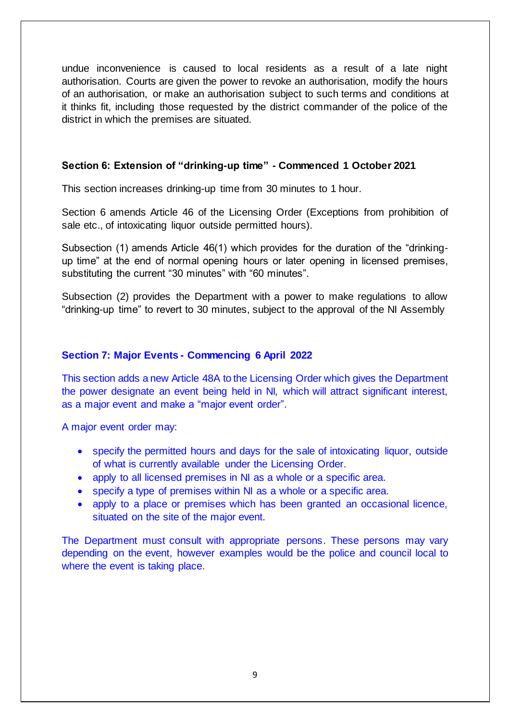undue inconvenience is caused to local residents as a result of a late night authorisation. Courts are given the power to revoke an authorisation, modify the hours of an authorisation, or make an authorisation subject to such terms and conditions at it thinks fit, including those requested by the district commander of the police of the district in which the premises are situated.

# **Section 6: Extension of "drinking-up time" - Commenced 1 October 2021**

This section increases drinking-up time from 30 minutes to 1 hour.

Section 6 amends Article 46 of the Licensing Order (Exceptions from prohibition of sale etc., of intoxicating liquor outside permitted hours).

Subsection (1) amends Article 46(1) which provides for the duration of the "drinkingup time" at the end of normal opening hours or later opening in licensed premises, substituting the current "30 minutes" with "60 minutes".

Subsection (2) provides the Department with a power to make regulations to allow "drinking-up time" to revert to 30 minutes, subject to the approval of the NI Assembly

## **Section 7: Major Events - Commencing 6 April 2022**

This section adds a new Article 48A to the Licensing Order which gives the Department the power designate an event being held in NI, which will attract significant interest, as a major event and make a "major event order".

A major event order may:

- specify the permitted hours and days for the sale of intoxicating liquor, outside of what is currently available under the Licensing Order.
- apply to all licensed premises in NI as a whole or a specific area.
- specify a type of premises within NI as a whole or a specific area.
- apply to a place or premises which has been granted an occasional licence, situated on the site of the major event.

The Department must consult with appropriate persons. These persons may vary depending on the event, however examples would be the police and council local to where the event is taking place.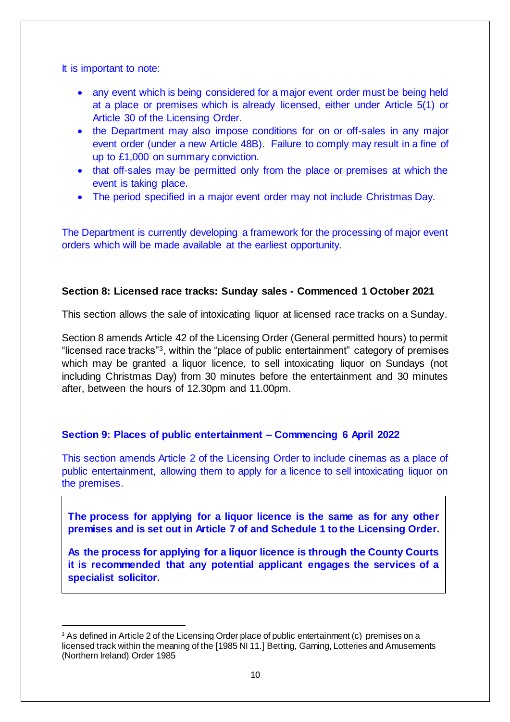It is important to note:

1

- any event which is being considered for a major event order must be being held at a place or premises which is already licensed, either under Article 5(1) or Article 30 of the Licensing Order.
- the Department may also impose conditions for on or off-sales in any major event order (under a new Article 48B). Failure to comply may result in a fine of up to £1,000 on summary conviction.
- that off-sales may be permitted only from the place or premises at which the event is taking place.
- The period specified in a major event order may not include Christmas Day.

The Department is currently developing a framework for the processing of major event orders which will be made available at the earliest opportunity.

## **Section 8: Licensed race tracks: Sunday sales - Commenced 1 October 2021**

This section allows the sale of intoxicating liquor at licensed race tracks on a Sunday.

Section 8 amends Article 42 of the Licensing Order (General permitted hours) to permit "licensed race tracks"3, within the "place of public entertainment" category of premises which may be granted a liquor licence, to sell intoxicating liquor on Sundays (not including Christmas Day) from 30 minutes before the entertainment and 30 minutes after, between the hours of 12.30pm and 11.00pm.

## **Section 9: Places of public entertainment – Commencing 6 April 2022**

This section amends Article 2 of the Licensing Order to include cinemas as a place of public entertainment, allowing them to apply for a licence to sell intoxicating liquor on the premises.

**The process for applying for a liquor licence is the same as for any other premises and is set out in Article 7 of and Schedule 1 to the Licensing Order.**

**As the process for applying for a liquor licence is through the County Courts it is recommended that any potential applicant engages the services of a specialist solicitor.**

<sup>&</sup>lt;sup>3</sup> As defined in Article 2 of the Licensing Order place of public entertainment (c) premises on a licensed track within the meaning of the [1985 NI 11.] Betting, Gaming, Lotteries and Amusements (Northern Ireland) Order 1985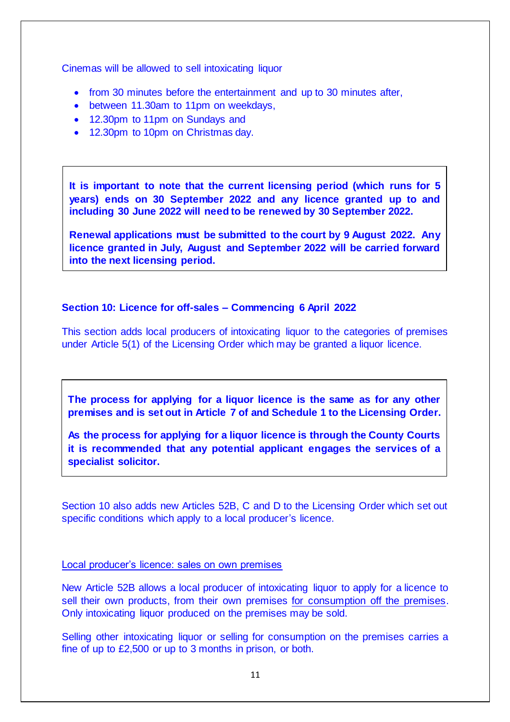Cinemas will be allowed to sell intoxicating liquor

- from 30 minutes before the entertainment and up to 30 minutes after,
- between 11.30am to 11pm on weekdays,
- 12.30pm to 11pm on Sundays and
- 12.30pm to 10pm on Christmas day.

**It is important to note that the current licensing period (which runs for 5 years) ends on 30 September 2022 and any licence granted up to and including 30 June 2022 will need to be renewed by 30 September 2022.** 

**Renewal applications must be submitted to the court by 9 August 2022. Any licence granted in July, August and September 2022 will be carried forward into the next licensing period.**

#### **Section 10: Licence for off-sales – Commencing 6 April 2022**

This section adds local producers of intoxicating liquor to the categories of premises under Article 5(1) of the Licensing Order which may be granted a liquor licence.

**The process for applying for a liquor licence is the same as for any other premises and is set out in Article 7 of and Schedule 1 to the Licensing Order.**

**As the process for applying for a liquor licence is through the County Courts it is recommended that any potential applicant engages the services of a specialist solicitor.**

Section 10 also adds new Articles 52B, C and D to the Licensing Order which set out specific conditions which apply to a local producer's licence.

#### Local producer's licence: sales on own premises

New Article 52B allows a local producer of intoxicating liquor to apply for a licence to sell their own products, from their own premises for consumption off the premises. Only intoxicating liquor produced on the premises may be sold.

Selling other intoxicating liquor or selling for consumption on the premises carries a fine of up to £2,500 or up to 3 months in prison, or both.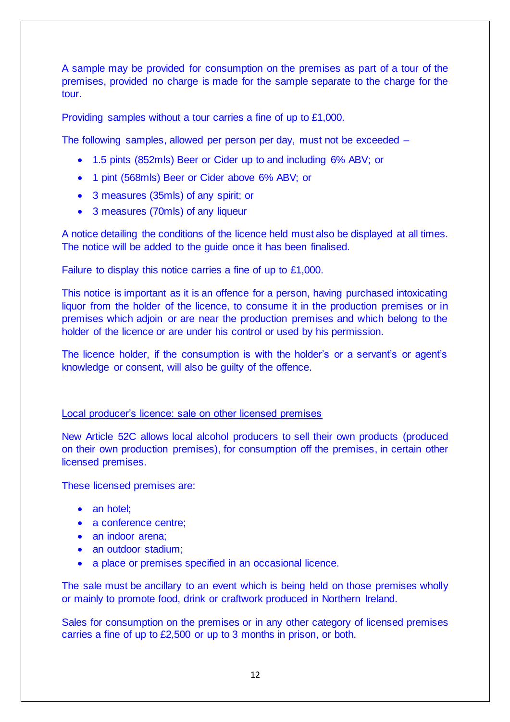A sample may be provided for consumption on the premises as part of a tour of the premises, provided no charge is made for the sample separate to the charge for the tour.

Providing samples without a tour carries a fine of up to £1,000.

The following samples, allowed per person per day, must not be exceeded –

- 1.5 pints (852mls) Beer or Cider up to and including 6% ABV; or
- 1 pint (568mls) Beer or Cider above 6% ABV; or
- 3 measures (35mls) of any spirit; or
- 3 measures (70mls) of any liqueur

A notice detailing the conditions of the licence held must also be displayed at all times. The notice will be added to the guide once it has been finalised.

Failure to display this notice carries a fine of up to £1,000.

This notice is important as it is an offence for a person, having purchased intoxicating liquor from the holder of the licence, to consume it in the production premises or in premises which adjoin or are near the production premises and which belong to the holder of the licence or are under his control or used by his permission.

The licence holder, if the consumption is with the holder's or a servant's or agent's knowledge or consent, will also be guilty of the offence.

## Local producer's licence: sale on other licensed premises

New Article 52C allows local alcohol producers to sell their own products (produced on their own production premises), for consumption off the premises, in certain other licensed premises.

These licensed premises are:

- an hotel:
- a conference centre;
- an indoor arena:
- an outdoor stadium:
- a place or premises specified in an occasional licence.

The sale must be ancillary to an event which is being held on those premises wholly or mainly to promote food, drink or craftwork produced in Northern Ireland.

Sales for consumption on the premises or in any other category of licensed premises carries a fine of up to £2,500 or up to 3 months in prison, or both.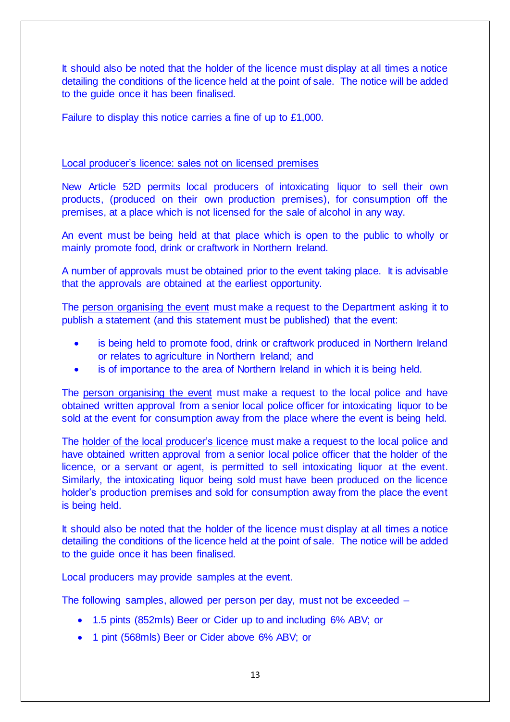It should also be noted that the holder of the licence must display at all times a notice detailing the conditions of the licence held at the point of sale. The notice will be added to the guide once it has been finalised.

Failure to display this notice carries a fine of up to £1,000.

## Local producer's licence: sales not on licensed premises

New Article 52D permits local producers of intoxicating liquor to sell their own products, (produced on their own production premises), for consumption off the premises, at a place which is not licensed for the sale of alcohol in any way.

An event must be being held at that place which is open to the public to wholly or mainly promote food, drink or craftwork in Northern Ireland.

A number of approvals must be obtained prior to the event taking place. It is advisable that the approvals are obtained at the earliest opportunity.

The person organising the event must make a request to the Department asking it to publish a statement (and this statement must be published) that the event:

- is being held to promote food, drink or craftwork produced in Northern Ireland or relates to agriculture in Northern Ireland; and
- is of importance to the area of Northern Ireland in which it is being held.

The person organising the event must make a request to the local police and have obtained written approval from a senior local police officer for intoxicating liquor to be sold at the event for consumption away from the place where the event is being held.

The holder of the local producer's licence must make a request to the local police and have obtained written approval from a senior local police officer that the holder of the licence, or a servant or agent, is permitted to sell intoxicating liquor at the event. Similarly, the intoxicating liquor being sold must have been produced on the licence holder's production premises and sold for consumption away from the place the event is being held.

It should also be noted that the holder of the licence must display at all times a notice detailing the conditions of the licence held at the point of sale. The notice will be added to the guide once it has been finalised.

Local producers may provide samples at the event.

The following samples, allowed per person per day, must not be exceeded –

- 1.5 pints (852mls) Beer or Cider up to and including 6% ABV; or
- 1 pint (568mls) Beer or Cider above 6% ABV; or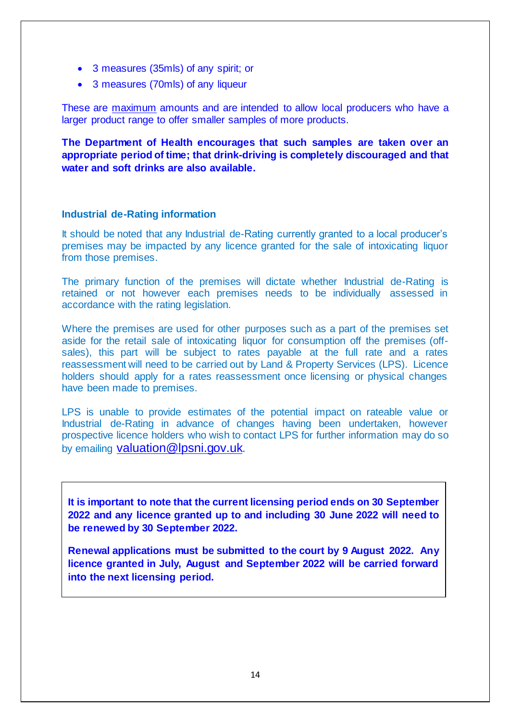- 3 measures (35mls) of any spirit; or
- 3 measures (70mls) of any liqueur

These are maximum amounts and are intended to allow local producers who have a larger product range to offer smaller samples of more products.

**The Department of Health encourages that such samples are taken over an appropriate period of time; that drink-driving is completely discouraged and that water and soft drinks are also available.**

#### **Industrial de-Rating information**

It should be noted that any Industrial de-Rating currently granted to a local producer's premises may be impacted by any licence granted for the sale of intoxicating liquor from those premises.

The primary function of the premises will dictate whether Industrial de-Rating is retained or not however each premises needs to be individually assessed in accordance with the rating legislation.

Where the premises are used for other purposes such as a part of the premises set aside for the retail sale of intoxicating liquor for consumption off the premises (offsales), this part will be subject to rates payable at the full rate and a rates reassessment will need to be carried out by Land & Property Services (LPS). Licence holders should apply for a rates reassessment once licensing or physical changes have been made to premises.

LPS is unable to provide estimates of the potential impact on rateable value or Industrial de-Rating in advance of changes having been undertaken, however prospective licence holders who wish to contact LPS for further information may do so by emailing [valuation@lpsni.gov.uk](mailto:valuation@lpsni.gov.uk).

**It is important to note that the current licensing period ends on 30 September 2022 and any licence granted up to and including 30 June 2022 will need to be renewed by 30 September 2022.** 

**Renewal applications must be submitted to the court by 9 August 2022. Any licence granted in July, August and September 2022 will be carried forward into the next licensing period.**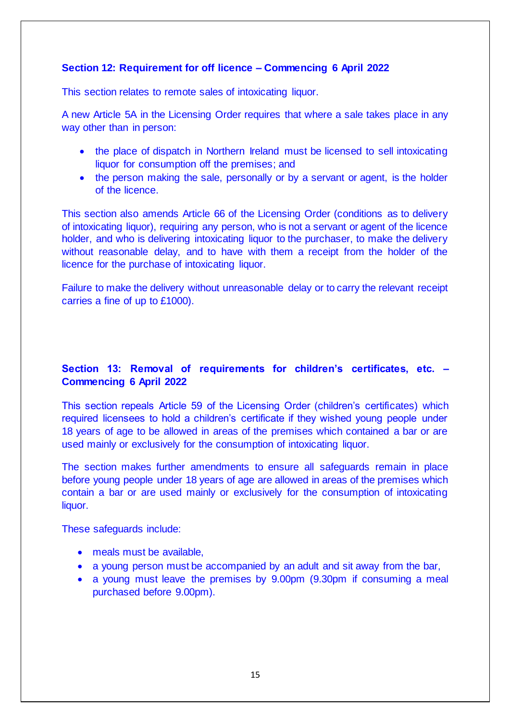# **Section 12: Requirement for off licence – Commencing 6 April 2022**

This section relates to remote sales of intoxicating liquor.

A new Article 5A in the Licensing Order requires that where a sale takes place in any way other than in person:

- the place of dispatch in Northern Ireland must be licensed to sell intoxicating liquor for consumption off the premises; and
- the person making the sale, personally or by a servant or agent, is the holder of the licence.

This section also amends Article 66 of the Licensing Order (conditions as to delivery of intoxicating liquor), requiring any person, who is not a servant or agent of the licence holder, and who is delivering intoxicating liquor to the purchaser, to make the delivery without reasonable delay, and to have with them a receipt from the holder of the licence for the purchase of intoxicating liquor.

Failure to make the delivery without unreasonable delay or to carry the relevant receipt carries a fine of up to £1000).

# **Section 13: Removal of requirements for children's certificates, etc. – Commencing 6 April 2022**

This section repeals Article 59 of the Licensing Order (children's certificates) which required licensees to hold a children's certificate if they wished young people under 18 years of age to be allowed in areas of the premises which contained a bar or are used mainly or exclusively for the consumption of intoxicating liquor.

The section makes further amendments to ensure all safeguards remain in place before young people under 18 years of age are allowed in areas of the premises which contain a bar or are used mainly or exclusively for the consumption of intoxicating liquor.

These safeguards include:

- meals must be available,
- a young person must be accompanied by an adult and sit away from the bar,
- a young must leave the premises by 9.00pm (9.30pm if consuming a meal purchased before 9.00pm).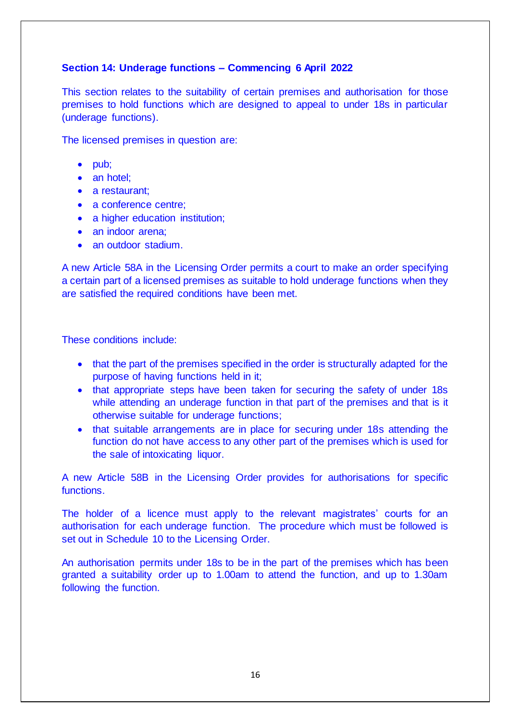# **Section 14: Underage functions – Commencing 6 April 2022**

This section relates to the suitability of certain premises and authorisation for those premises to hold functions which are designed to appeal to under 18s in particular (underage functions).

The licensed premises in question are:

- pub;
- an hotel:
- a restaurant:
- a conference centre;
- a higher education institution;
- an indoor arena:
- an outdoor stadium.

A new Article 58A in the Licensing Order permits a court to make an order specifying a certain part of a licensed premises as suitable to hold underage functions when they are satisfied the required conditions have been met.

These conditions include:

- that the part of the premises specified in the order is structurally adapted for the purpose of having functions held in it;
- that appropriate steps have been taken for securing the safety of under 18s while attending an underage function in that part of the premises and that is it otherwise suitable for underage functions;
- that suitable arrangements are in place for securing under 18s attending the function do not have access to any other part of the premises which is used for the sale of intoxicating liquor.

A new Article 58B in the Licensing Order provides for authorisations for specific functions.

The holder of a licence must apply to the relevant magistrates' courts for an authorisation for each underage function. The procedure which must be followed is set out in Schedule 10 to the Licensing Order.

An authorisation permits under 18s to be in the part of the premises which has been granted a suitability order up to 1.00am to attend the function, and up to 1.30am following the function.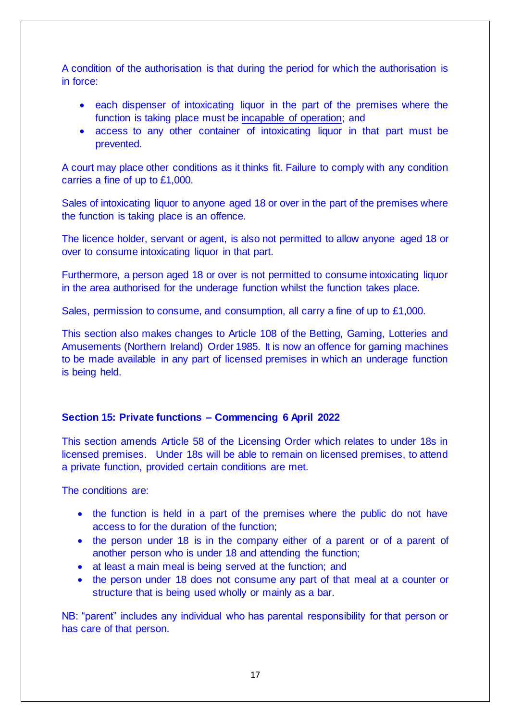A condition of the authorisation is that during the period for which the authorisation is in force:

- each dispenser of intoxicating liquor in the part of the premises where the function is taking place must be incapable of operation; and
- access to any other container of intoxicating liquor in that part must be prevented.

A court may place other conditions as it thinks fit. Failure to comply with any condition carries a fine of up to £1,000.

Sales of intoxicating liquor to anyone aged 18 or over in the part of the premises where the function is taking place is an offence.

The licence holder, servant or agent, is also not permitted to allow anyone aged 18 or over to consume intoxicating liquor in that part.

Furthermore, a person aged 18 or over is not permitted to consume intoxicating liquor in the area authorised for the underage function whilst the function takes place.

Sales, permission to consume, and consumption, all carry a fine of up to £1,000.

This section also makes changes to Article 108 of the Betting, Gaming, Lotteries and Amusements (Northern Ireland) Order 1985. It is now an offence for gaming machines to be made available in any part of licensed premises in which an underage function is being held.

#### **Section 15: Private functions – Commencing 6 April 2022**

This section amends Article 58 of the Licensing Order which relates to under 18s in licensed premises. Under 18s will be able to remain on licensed premises, to attend a private function, provided certain conditions are met.

The conditions are:

- the function is held in a part of the premises where the public do not have access to for the duration of the function;
- the person under 18 is in the company either of a parent or of a parent of another person who is under 18 and attending the function;
- at least a main meal is being served at the function; and
- the person under 18 does not consume any part of that meal at a counter or structure that is being used wholly or mainly as a bar.

NB: "parent" includes any individual who has parental responsibility for that person or has care of that person.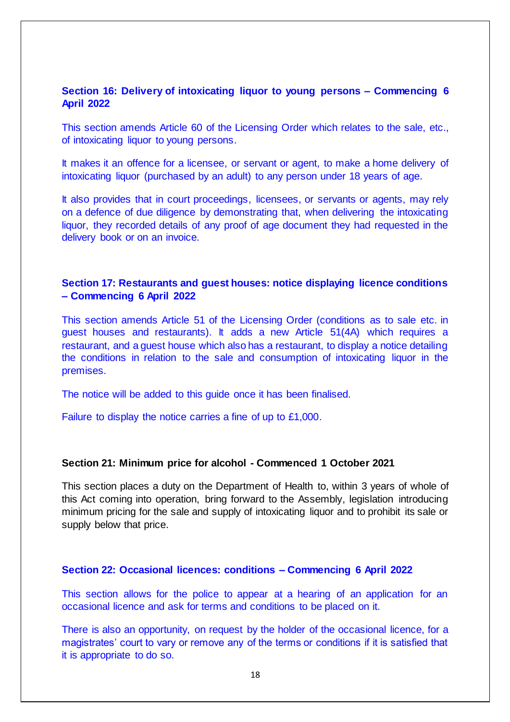## **Section 16: Delivery of intoxicating liquor to young persons – Commencing 6 April 2022**

This section amends Article 60 of the Licensing Order which relates to the sale, etc., of intoxicating liquor to young persons.

It makes it an offence for a licensee, or servant or agent, to make a home delivery of intoxicating liquor (purchased by an adult) to any person under 18 years of age.

It also provides that in court proceedings, licensees, or servants or agents, may rely on a defence of due diligence by demonstrating that, when delivering the intoxicating liquor, they recorded details of any proof of age document they had requested in the delivery book or on an invoice.

# **Section 17: Restaurants and guest houses: notice displaying licence conditions – Commencing 6 April 2022**

This section amends Article 51 of the Licensing Order (conditions as to sale etc. in guest houses and restaurants). It adds a new Article 51(4A) which requires a restaurant, and a guest house which also has a restaurant, to display a notice detailing the conditions in relation to the sale and consumption of intoxicating liquor in the premises.

The notice will be added to this guide once it has been finalised.

Failure to display the notice carries a fine of up to £1,000.

#### **Section 21: Minimum price for alcohol - Commenced 1 October 2021**

This section places a duty on the Department of Health to, within 3 years of whole of this Act coming into operation, bring forward to the Assembly, legislation introducing minimum pricing for the sale and supply of intoxicating liquor and to prohibit its sale or supply below that price.

#### **Section 22: Occasional licences: conditions – Commencing 6 April 2022**

This section allows for the police to appear at a hearing of an application for an occasional licence and ask for terms and conditions to be placed on it.

There is also an opportunity, on request by the holder of the occasional licence, for a magistrates' court to vary or remove any of the terms or conditions if it is satisfied that it is appropriate to do so.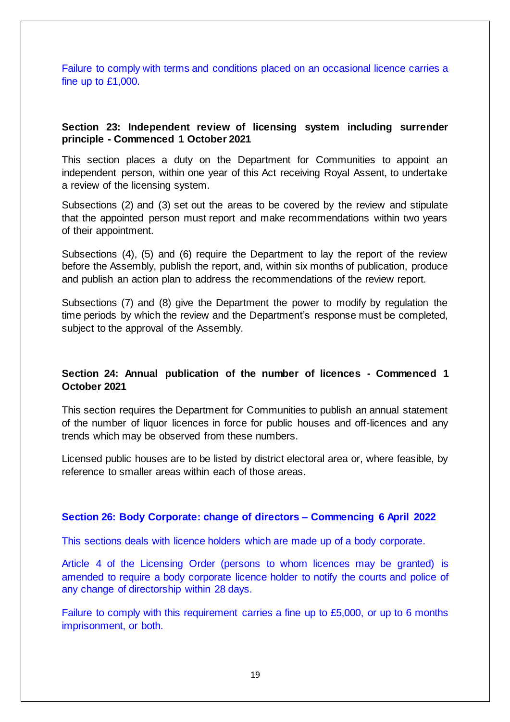Failure to comply with terms and conditions placed on an occasional licence carries a fine up to £1,000.

#### **Section 23: Independent review of licensing system including surrender principle - Commenced 1 October 2021**

This section places a duty on the Department for Communities to appoint an independent person, within one year of this Act receiving Royal Assent, to undertake a review of the licensing system.

Subsections (2) and (3) set out the areas to be covered by the review and stipulate that the appointed person must report and make recommendations within two years of their appointment.

Subsections (4), (5) and (6) require the Department to lay the report of the review before the Assembly, publish the report, and, within six months of publication, produce and publish an action plan to address the recommendations of the review report.

Subsections (7) and (8) give the Department the power to modify by regulation the time periods by which the review and the Department's response must be completed, subject to the approval of the Assembly.

# **Section 24: Annual publication of the number of licences - Commenced 1 October 2021**

This section requires the Department for Communities to publish an annual statement of the number of liquor licences in force for public houses and off-licences and any trends which may be observed from these numbers.

Licensed public houses are to be listed by district electoral area or, where feasible, by reference to smaller areas within each of those areas.

## **Section 26: Body Corporate: change of directors – Commencing 6 April 2022**

This sections deals with licence holders which are made up of a body corporate.

Article 4 of the Licensing Order (persons to whom licences may be granted) is amended to require a body corporate licence holder to notify the courts and police of any change of directorship within 28 days.

Failure to comply with this requirement carries a fine up to £5,000, or up to 6 months imprisonment, or both.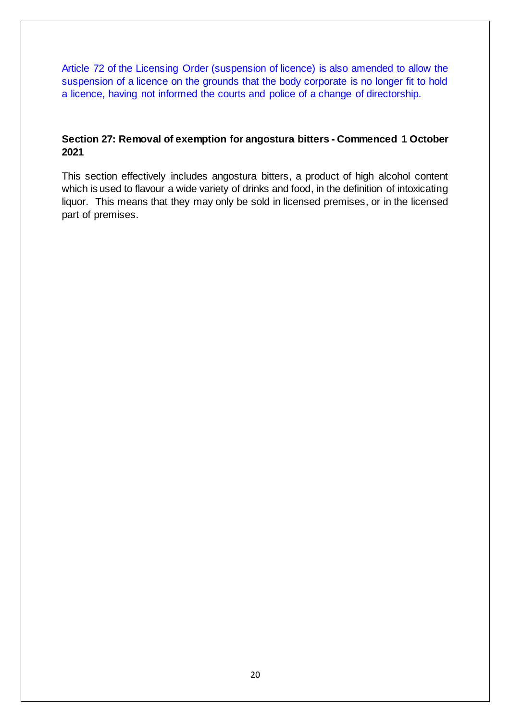Article 72 of the Licensing Order (suspension of licence) is also amended to allow the suspension of a licence on the grounds that the body corporate is no longer fit to hold a licence, having not informed the courts and police of a change of directorship.

# **Section 27: Removal of exemption for angostura bitters - Commenced 1 October 2021**

This section effectively includes angostura bitters, a product of high alcohol content which is used to flavour a wide variety of drinks and food, in the definition of intoxicating liquor. This means that they may only be sold in licensed premises, or in the licensed part of premises.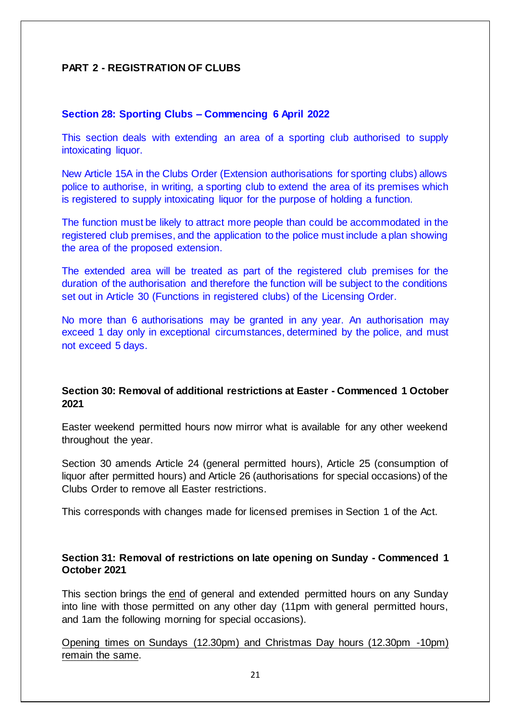# **PART 2 - REGISTRATION OF CLUBS**

#### **Section 28: Sporting Clubs – Commencing 6 April 2022**

This section deals with extending an area of a sporting club authorised to supply intoxicating liquor.

New Article 15A in the Clubs Order (Extension authorisations for sporting clubs) allows police to authorise, in writing, a sporting club to extend the area of its premises which is registered to supply intoxicating liquor for the purpose of holding a function.

The function must be likely to attract more people than could be accommodated in the registered club premises, and the application to the police must include a plan showing the area of the proposed extension.

The extended area will be treated as part of the registered club premises for the duration of the authorisation and therefore the function will be subject to the conditions set out in Article 30 (Functions in registered clubs) of the Licensing Order.

No more than 6 authorisations may be granted in any year. An authorisation may exceed 1 day only in exceptional circumstances, determined by the police, and must not exceed 5 days.

# **Section 30: Removal of additional restrictions at Easter - Commenced 1 October 2021**

Easter weekend permitted hours now mirror what is available for any other weekend throughout the year.

Section 30 amends Article 24 (general permitted hours), Article 25 (consumption of liquor after permitted hours) and Article 26 (authorisations for special occasions) of the Clubs Order to remove all Easter restrictions.

This corresponds with changes made for licensed premises in Section 1 of the Act.

## **Section 31: Removal of restrictions on late opening on Sunday - Commenced 1 October 2021**

This section brings the end of general and extended permitted hours on any Sunday into line with those permitted on any other day (11pm with general permitted hours, and 1am the following morning for special occasions).

Opening times on Sundays (12.30pm) and Christmas Day hours (12.30pm -10pm) remain the same.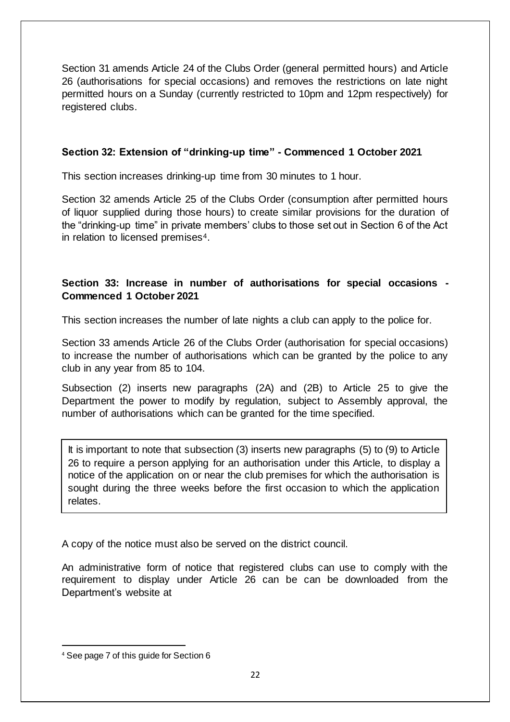Section 31 amends Article 24 of the Clubs Order (general permitted hours) and Article 26 (authorisations for special occasions) and removes the restrictions on late night permitted hours on a Sunday (currently restricted to 10pm and 12pm respectively) for registered clubs.

# **Section 32: Extension of "drinking-up time" - Commenced 1 October 2021**

This section increases drinking-up time from 30 minutes to 1 hour.

Section 32 amends Article 25 of the Clubs Order (consumption after permitted hours of liquor supplied during those hours) to create similar provisions for the duration of the "drinking-up time" in private members' clubs to those set out in Section 6 of the Act in relation to licensed premises<sup>4</sup>.

# **Section 33: Increase in number of authorisations for special occasions - Commenced 1 October 2021**

This section increases the number of late nights a club can apply to the police for.

Section 33 amends Article 26 of the Clubs Order (authorisation for special occasions) to increase the number of authorisations which can be granted by the police to any club in any year from 85 to 104.

Subsection (2) inserts new paragraphs (2A) and (2B) to Article 25 to give the Department the power to modify by regulation, subject to Assembly approval, the number of authorisations which can be granted for the time specified.

It is important to note that subsection (3) inserts new paragraphs (5) to (9) to Article 26 to require a person applying for an authorisation under this Article, to display a notice of the application on or near the club premises for which the authorisation is sought during the three weeks before the first occasion to which the application relates.

A copy of the notice must also be served on the district council.

An administrative form of notice that registered clubs can use to comply with the requirement to display under Article 26 can be can be downloaded from the Department's website at

 $\overline{a}$ 

<sup>4</sup> See page 7 of this guide for Section 6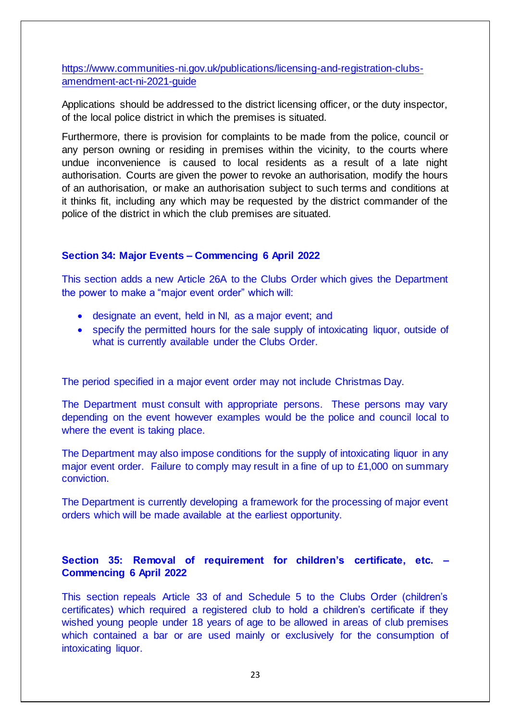[https://www.communities-ni.gov.uk/publications/licensing-and-registration-clubs](https://www.communities-ni.gov.uk/publications/licensing-and-registration-clubs-amendment-act-ni-2021-guide)[amendment-act-ni-2021-guide](https://www.communities-ni.gov.uk/publications/licensing-and-registration-clubs-amendment-act-ni-2021-guide)

Applications should be addressed to the district licensing officer, or the duty inspector, of the local police district in which the premises is situated.

Furthermore, there is provision for complaints to be made from the police, council or any person owning or residing in premises within the vicinity, to the courts where undue inconvenience is caused to local residents as a result of a late night authorisation. Courts are given the power to revoke an authorisation, modify the hours of an authorisation, or make an authorisation subject to such terms and conditions at it thinks fit, including any which may be requested by the district commander of the police of the district in which the club premises are situated.

## **Section 34: Major Events – Commencing 6 April 2022**

This section adds a new Article 26A to the Clubs Order which gives the Department the power to make a "major event order" which will:

- designate an event, held in NI, as a major event; and
- specify the permitted hours for the sale supply of intoxicating liquor, outside of what is currently available under the Clubs Order.

The period specified in a major event order may not include Christmas Day.

The Department must consult with appropriate persons. These persons may vary depending on the event however examples would be the police and council local to where the event is taking place.

The Department may also impose conditions for the supply of intoxicating liquor in any major event order. Failure to comply may result in a fine of up to £1,000 on summary conviction.

The Department is currently developing a framework for the processing of major event orders which will be made available at the earliest opportunity.

# **Section 35: Removal of requirement for children's certificate, etc. – Commencing 6 April 2022**

This section repeals Article 33 of and Schedule 5 to the Clubs Order (children's certificates) which required a registered club to hold a children's certificate if they wished young people under 18 years of age to be allowed in areas of club premises which contained a bar or are used mainly or exclusively for the consumption of intoxicating liquor.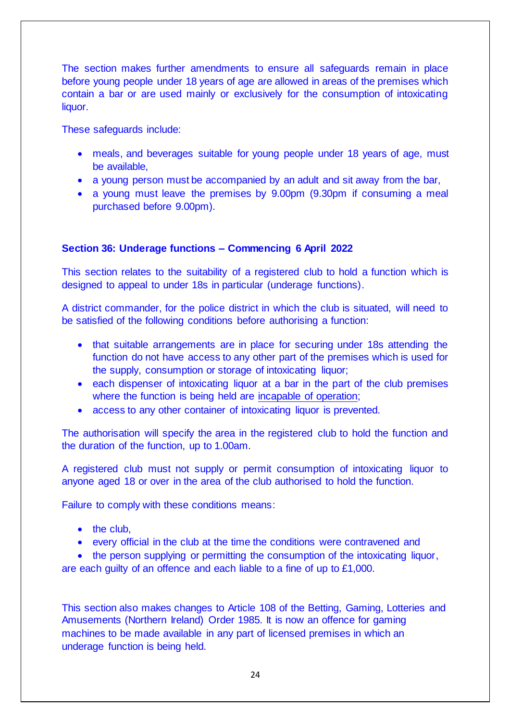The section makes further amendments to ensure all safeguards remain in place before young people under 18 years of age are allowed in areas of the premises which contain a bar or are used mainly or exclusively for the consumption of intoxicating liquor.

These safeguards include:

- meals, and beverages suitable for young people under 18 years of age, must be available,
- a young person must be accompanied by an adult and sit away from the bar,
- a young must leave the premises by 9.00pm (9.30pm if consuming a meal purchased before 9.00pm).

## **Section 36: Underage functions – Commencing 6 April 2022**

This section relates to the suitability of a registered club to hold a function which is designed to appeal to under 18s in particular (underage functions).

A district commander, for the police district in which the club is situated, will need to be satisfied of the following conditions before authorising a function:

- that suitable arrangements are in place for securing under 18s attending the function do not have access to any other part of the premises which is used for the supply, consumption or storage of intoxicating liquor;
- each dispenser of intoxicating liquor at a bar in the part of the club premises where the function is being held are incapable of operation;
- access to any other container of intoxicating liquor is prevented.

The authorisation will specify the area in the registered club to hold the function and the duration of the function, up to 1.00am.

A registered club must not supply or permit consumption of intoxicating liquor to anyone aged 18 or over in the area of the club authorised to hold the function.

Failure to comply with these conditions means:

- $\bullet$  the club,
- every official in the club at the time the conditions were contravened and

• the person supplying or permitting the consumption of the intoxicating liquor,

are each guilty of an offence and each liable to a fine of up to £1,000.

This section also makes changes to Article 108 of the Betting, Gaming, Lotteries and Amusements (Northern Ireland) Order 1985. It is now an offence for gaming machines to be made available in any part of licensed premises in which an underage function is being held.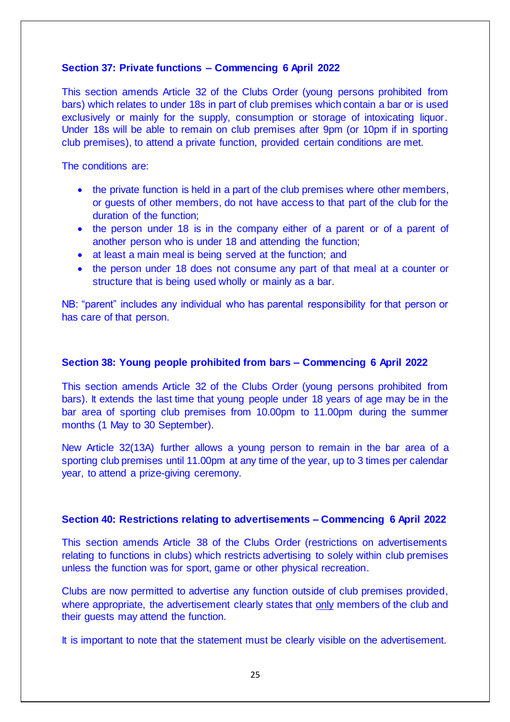# **Section 37: Private functions – Commencing 6 April 2022**

This section amends Article 32 of the Clubs Order (young persons prohibited from bars) which relates to under 18s in part of club premises which contain a bar or is used exclusively or mainly for the supply, consumption or storage of intoxicating liquor. Under 18s will be able to remain on club premises after 9pm (or 10pm if in sporting club premises), to attend a private function, provided certain conditions are met.

The conditions are:

- the private function is held in a part of the club premises where other members, or guests of other members, do not have access to that part of the club for the duration of the function;
- the person under 18 is in the company either of a parent or of a parent of another person who is under 18 and attending the function;
- at least a main meal is being served at the function; and
- the person under 18 does not consume any part of that meal at a counter or structure that is being used wholly or mainly as a bar.

NB: "parent" includes any individual who has parental responsibility for that person or has care of that person.

## **Section 38: Young people prohibited from bars – Commencing 6 April 2022**

This section amends Article 32 of the Clubs Order (young persons prohibited from bars). It extends the last time that young people under 18 years of age may be in the bar area of sporting club premises from 10.00pm to 11.00pm during the summer months (1 May to 30 September).

New Article 32(13A) further allows a young person to remain in the bar area of a sporting club premises until 11.00pm at any time of the year, up to 3 times per calendar year, to attend a prize-giving ceremony.

## **Section 40: Restrictions relating to advertisements – Commencing 6 April 2022**

This section amends Article 38 of the Clubs Order (restrictions on advertisements relating to functions in clubs) which restricts advertising to solely within club premises unless the function was for sport, game or other physical recreation.

Clubs are now permitted to advertise any function outside of club premises provided, where appropriate, the advertisement clearly states that only members of the club and their guests may attend the function.

It is important to note that the statement must be clearly visible on the advertisement.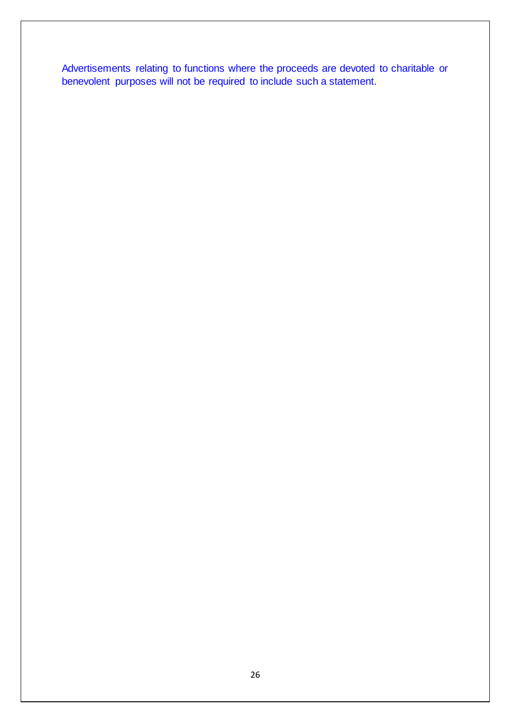Advertisements relating to functions where the proceeds are devoted to charitable or benevolent purposes will not be required to include such a statement.